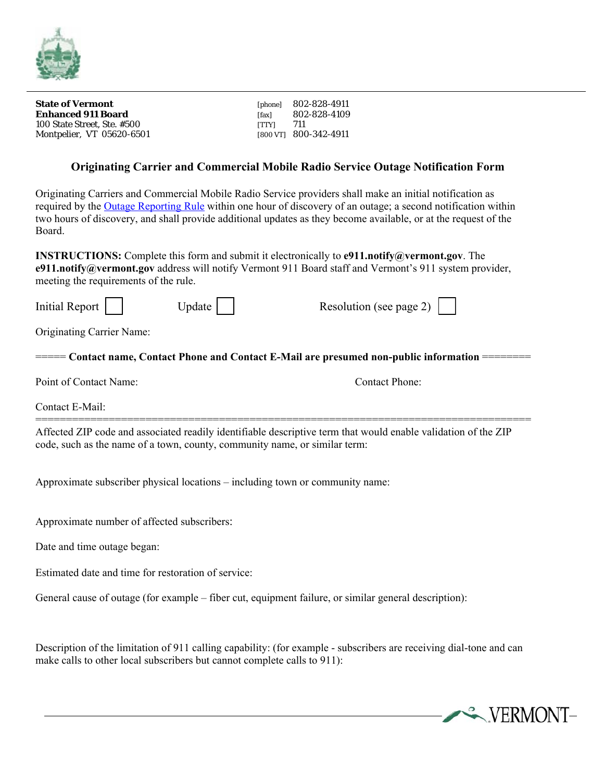

**State of Vermont Enhanced 911 Board**  100 State Street, Ste. #500 Montpelier, VT 05620-6501 [800 VT] 800-342-4911

[phone] 802-828-4911 [fax] 802-828-4109 [TTY] 711

## **Originating Carrier and Commercial Mobile Radio Service Outage Notification Form**

Originating Carriers and Commercial Mobile Radio Service providers shall make an initial notification as required by the Outage Reporting Rule within one hour of discovery of an outage; a second notification within two hours of discovery, and shall provide additional updates as they become available, or at the request of the Board.

**INSTRUCTIONS:** Complete this form and submit it electronically to **e911.notify@vermont.gov**. The **e911.notify@vermont.gov** address will notify Vermont 911 Board staff and Vermont's 911 system provider, meeting the requirements of the rule.

| Initial Report                   | Update | Resolution (see page 2)                                                                                                                 |
|----------------------------------|--------|-----------------------------------------------------------------------------------------------------------------------------------------|
| <b>Originating Carrier Name:</b> |        |                                                                                                                                         |
|                                  |        | $\equiv \equiv \equiv$ Contact name, Contact Phone and Contact E-Mail are presumed non-public information $\equiv \equiv \equiv \equiv$ |
| Point of Contact Name:           |        | Contact Phone:                                                                                                                          |
| Contact E-Mail:                  |        |                                                                                                                                         |
|                                  |        | Affected ZIP code and associated readily identifiable descriptive term that would enable validation of the ZIP                          |

Approximate subscriber physical locations – including town or community name:

code, such as the name of a town, county, community name, or similar term:

Approximate number of affected subscribers:

Date and time outage began:

Estimated date and time for restoration of service:

General cause of outage (for example – fiber cut, equipment failure, or similar general description):

Description of the limitation of 911 calling capability: (for example - subscribers are receiving dial-tone and can make calls to other local subscribers but cannot complete calls to 911):